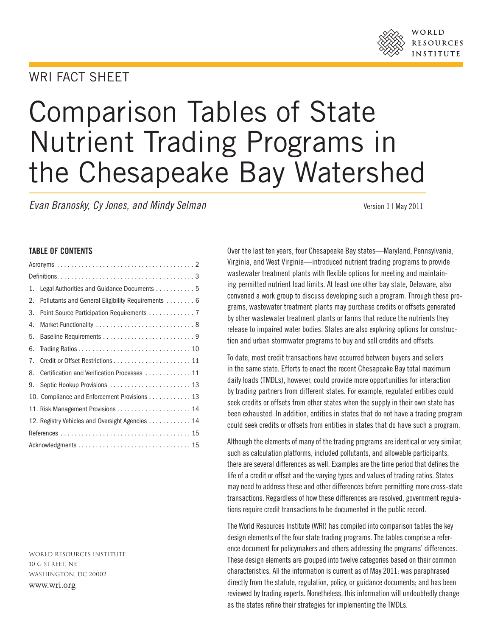### WORLD RESOURCES **INSTITUTE**

## WRI FACT SHFFT

# Comparison Tables of State Nutrient Trading Programs in the Chesapeake Bay Watershed

*Evan Branosky, Cy Jones, and Mindy Selman* **Version 1 | May 2011** 

#### TABLE OF CONTENTS

| Legal Authorities and Guidance Documents  5<br>1.        |
|----------------------------------------------------------|
| Pollutants and General Eligibility Requirements  6<br>2. |
| Point Source Participation Requirements 7<br>3.          |
| 4.                                                       |
| 5.                                                       |
| 6.                                                       |
| 7.                                                       |
| Certification and Verification Processes 11<br>8.        |
| Septic Hookup Provisions  13<br>9.                       |
| 10. Compliance and Enforcement Provisions 13             |
|                                                          |
| 12. Registry Vehicles and Oversight Agencies  14         |
|                                                          |
|                                                          |
|                                                          |

World Resources Institute 10 G Street, NE Washington, DC 20002 www.wri.org

Over the last ten years, four Chesapeake Bay states—Maryland, Pennsylvania, Virginia, and West Virginia—introduced nutrient trading programs to provide wastewater treatment plants with flexible options for meeting and maintaining permitted nutrient load limits. At least one other bay state, Delaware, also convened a work group to discuss developing such a program. Through these programs, wastewater treatment plants may purchase credits or offsets generated by other wastewater treatment plants or farms that reduce the nutrients they release to impaired water bodies. States are also exploring options for construction and urban stormwater programs to buy and sell credits and offsets.

To date, most credit transactions have occurred between buyers and sellers in the same state. Efforts to enact the recent Chesapeake Bay total maximum daily loads (TMDLs), however, could provide more opportunities for interaction by trading partners from different states. For example, regulated entities could seek credits or offsets from other states when the supply in their own state has been exhausted. In addition, entities in states that do not have a trading program could seek credits or offsets from entities in states that do have such a program.

Although the elements of many of the trading programs are identical or very similar, such as calculation platforms, included pollutants, and allowable participants, there are several differences as well. Examples are the time period that defines the life of a credit or offset and the varying types and values of trading ratios. States may need to address these and other differences before permitting more cross-state transactions. Regardless of how these differences are resolved, government regulations require credit transactions to be documented in the public record.

The World Resources Institute (WRI) has compiled into comparison tables the key design elements of the four state trading programs. The tables comprise a reference document for policymakers and others addressing the programs' differences. These design elements are grouped into twelve categories based on their common characteristics. All the information is current as of May 2011; was paraphrased directly from the statute, regulation, policy, or guidance documents; and has been reviewed by trading experts. Nonetheless, this information will undoubtedly change as the states refine their strategies for implementing the TMDLs.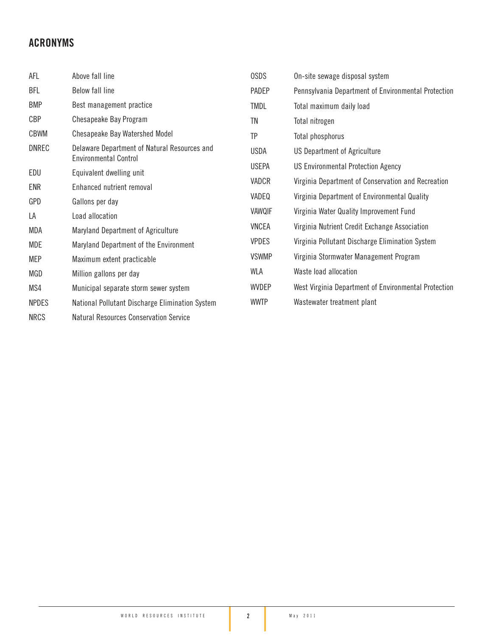## ACRONYMS

| AFL          | Above fall line                                                              | <b>OSDS</b>  | On-site sewage disposal system                       |
|--------------|------------------------------------------------------------------------------|--------------|------------------------------------------------------|
| <b>BFL</b>   | <b>Below fall line</b>                                                       | PADEP        | Pennsylvania Department of Environmental Protection  |
| <b>BMP</b>   | Best management practice                                                     | <b>TMDL</b>  | Total maximum daily load                             |
| CBP          | Chesapeake Bay Program                                                       | TN           | Total nitrogen                                       |
| <b>CBWM</b>  | Chesapeake Bay Watershed Model                                               | <b>TP</b>    | Total phosphorus                                     |
| <b>DNREC</b> | Delaware Department of Natural Resources and<br><b>Environmental Control</b> | <b>USDA</b>  | US Department of Agriculture                         |
| EDU          | Equivalent dwelling unit                                                     | <b>USEPA</b> | <b>US Environmental Protection Agency</b>            |
| <b>ENR</b>   | Enhanced nutrient removal                                                    | VADCR        | Virginia Department of Conservation and Recreation   |
| GPD          | Gallons per day                                                              | VADEQ        | Virginia Department of Environmental Quality         |
| LA           | Load allocation                                                              | VAWQIF       | Virginia Water Quality Improvement Fund              |
| MDA          | Maryland Department of Agriculture                                           | <b>VNCEA</b> | Virginia Nutrient Credit Exchange Association        |
| <b>MDE</b>   | Maryland Department of the Environment                                       | <b>VPDES</b> | Virginia Pollutant Discharge Elimination System      |
| <b>MEP</b>   | Maximum extent practicable                                                   | <b>VSWMP</b> | Virginia Stormwater Management Program               |
| MGD          | Million gallons per day                                                      | WLA          | Waste load allocation                                |
| MS4          | Municipal separate storm sewer system                                        | <b>WVDEP</b> | West Virginia Department of Environmental Protection |
| <b>NPDES</b> | National Pollutant Discharge Elimination System                              | <b>WWTP</b>  | Wastewater treatment plant                           |
| <b>NRCS</b>  | <b>Natural Resources Conservation Service</b>                                |              |                                                      |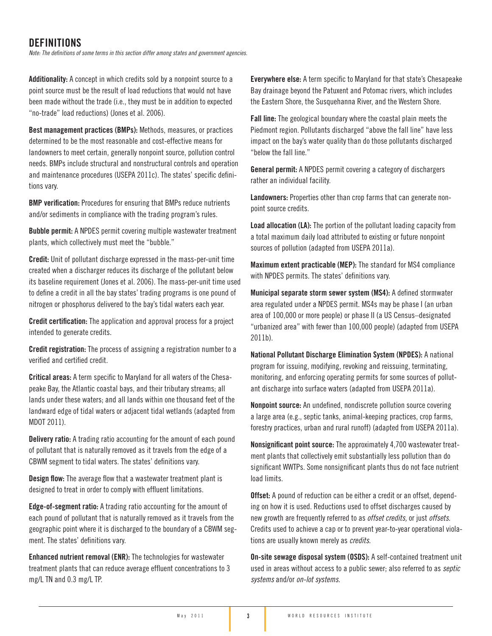## DEFINITIONS

*Note: The definitions of some terms in this section differ among states and government agencies.*

Additionality: A concept in which credits sold by a nonpoint source to a point source must be the result of load reductions that would not have been made without the trade (i.e., they must be in addition to expected "no-trade" load reductions) (Jones et al. 2006).

Best management practices (BMPs): Methods, measures, or practices determined to be the most reasonable and cost-effective means for landowners to meet certain, generally nonpoint source, pollution control needs. BMPs include structural and nonstructural controls and operation and maintenance procedures (USEPA 2011c). The states' specific definitions vary.

BMP verification: Procedures for ensuring that BMPs reduce nutrients and/or sediments in compliance with the trading program's rules.

Bubble permit: A NPDES permit covering multiple wastewater treatment plants, which collectively must meet the "bubble."

Credit: Unit of pollutant discharge expressed in the mass-per-unit time created when a discharger reduces its discharge of the pollutant below its baseline requirement (Jones et al. 2006). The mass-per-unit time used to define a credit in all the bay states' trading programs is one pound of nitrogen or phosphorus delivered to the bay's tidal waters each year.

Credit certification: The application and approval process for a project intended to generate credits.

Credit registration: The process of assigning a registration number to a verified and certified credit.

Critical areas: A term specific to Maryland for all waters of the Chesapeake Bay, the Atlantic coastal bays, and their tributary streams; all lands under these waters; and all lands within one thousand feet of the landward edge of tidal waters or adjacent tidal wetlands (adapted from MDOT 2011).

Delivery ratio: A trading ratio accounting for the amount of each pound of pollutant that is naturally removed as it travels from the edge of a CBWM segment to tidal waters. The states' definitions vary.

Design flow: The average flow that a wastewater treatment plant is designed to treat in order to comply with effluent limitations.

Edge-of-segment ratio: A trading ratio accounting for the amount of each pound of pollutant that is naturally removed as it travels from the geographic point where it is discharged to the boundary of a CBWM segment. The states' definitions vary.

Enhanced nutrient removal (ENR): The technologies for wastewater treatment plants that can reduce average effluent concentrations to 3 mg/L TN and 0.3 mg/L TP.

Everywhere else: A term specific to Maryland for that state's Chesapeake Bay drainage beyond the Patuxent and Potomac rivers, which includes the Eastern Shore, the Susquehanna River, and the Western Shore.

Fall line: The geological boundary where the coastal plain meets the Piedmont region. Pollutants discharged "above the fall line" have less impact on the bay's water quality than do those pollutants discharged "below the fall line."

General permit: A NPDES permit covering a category of dischargers rather an individual facility.

Landowners: Properties other than crop farms that can generate nonpoint source credits.

Load allocation (LA): The portion of the pollutant loading capacity from a total maximum daily load attributed to existing or future nonpoint sources of pollution (adapted from USEPA 2011a).

Maximum extent practicable (MEP): The standard for MS4 compliance with NPDES permits. The states' definitions vary.

Municipal separate storm sewer system (MS4): A defined stormwater area regulated under a NPDES permit. MS4s may be phase I (an urban area of 100,000 or more people) or phase II (a US Census–designated "urbanized area" with fewer than 100,000 people) (adapted from USEPA 2011b).

National Pollutant Discharge Elimination System (NPDES): A national program for issuing, modifying, revoking and reissuing, terminating, monitoring, and enforcing operating permits for some sources of pollutant discharge into surface waters (adapted from USEPA 2011a).

Nonpoint source: An undefined, nondiscrete pollution source covering a large area (e.g., septic tanks, animal-keeping practices, crop farms, forestry practices, urban and rural runoff) (adapted from USEPA 2011a).

Nonsignificant point source: The approximately 4,700 wastewater treatment plants that collectively emit substantially less pollution than do significant WWTPs. Some nonsignificant plants thus do not face nutrient load limits.

**Offset:** A pound of reduction can be either a credit or an offset, depending on how it is used. Reductions used to offset discharges caused by new growth are frequently referred to as *offset credits,* or just *offsets*. Credits used to achieve a cap or to prevent year-to-year operational violations are usually known merely as *credits*.

On-site sewage disposal system (OSDS): A self-contained treatment unit used in areas without access to a public sewer; also referred to as *septic systems* and/or *on-lot systems.*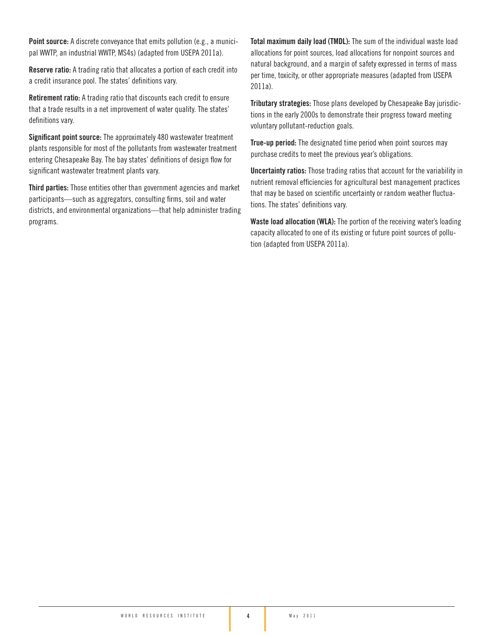Point source: A discrete conveyance that emits pollution (e.g., a municipal WWTP, an industrial WWTP, MS4s) (adapted from USEPA 2011a).

Reserve ratio: A trading ratio that allocates a portion of each credit into a credit insurance pool. The states' definitions vary.

Retirement ratio: A trading ratio that discounts each credit to ensure that a trade results in a net improvement of water quality. The states' definitions vary.

Significant point source: The approximately 480 wastewater treatment plants responsible for most of the pollutants from wastewater treatment entering Chesapeake Bay. The bay states' definitions of design flow for significant wastewater treatment plants vary.

Third parties: Those entities other than government agencies and market participants—such as aggregators, consulting firms, soil and water districts, and environmental organizations—that help administer trading programs.

Total maximum daily load (TMDL): The sum of the individual waste load allocations for point sources, load allocations for nonpoint sources and natural background, and a margin of safety expressed in terms of mass per time, toxicity, or other appropriate measures (adapted from USEPA 2011a).

Tributary strategies: Those plans developed by Chesapeake Bay jurisdictions in the early 2000s to demonstrate their progress toward meeting voluntary pollutant-reduction goals.

True-up period: The designated time period when point sources may purchase credits to meet the previous year's obligations.

Uncertainty ratios: Those trading ratios that account for the variability in nutrient removal efficiencies for agricultural best management practices that may be based on scientific uncertainty or random weather fluctuations. The states' definitions vary.

Waste load allocation (WLA): The portion of the receiving water's loading capacity allocated to one of its existing or future point sources of pollution (adapted from USEPA 2011a).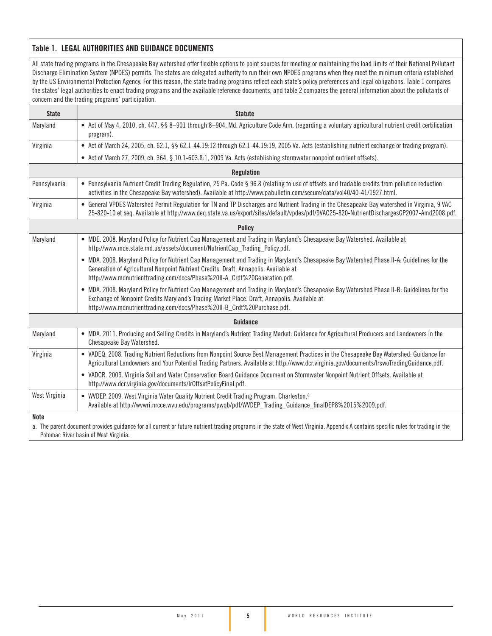#### Table 1. LEGAL AUTHORITIES AND GUIDANCE DOCUMENTS

All state trading programs in the Chesapeake Bay watershed offer flexible options to point sources for meeting or maintaining the load limits of their National Pollutant Discharge Elimination System (NPDES) permits. The states are delegated authority to run their own NPDES programs when they meet the minimum criteria established by the US Environmental Protection Agency. For this reason, the state trading programs reflect each state's policy preferences and legal obligations. Table 1 compares the states' legal authorities to enact trading programs and the available reference documents, and table 2 compares the general information about the pollutants of concern and the trading programs' participation.

| <b>State</b>  | <b>Statute</b>                                                                                                                                                                                                                                                                                                        |
|---------------|-----------------------------------------------------------------------------------------------------------------------------------------------------------------------------------------------------------------------------------------------------------------------------------------------------------------------|
| Maryland      | • Act of May 4, 2010, ch. 447, §§ 8-901 through 8-904, Md. Agriculture Code Ann. (regarding a voluntary agricultural nutrient credit certification<br>program).                                                                                                                                                       |
| Virginia      | • Act of March 24, 2005, ch. 62.1, §§ 62.1-44.19:12 through 62.1-44.19:19, 2005 Va. Acts (establishing nutrient exchange or trading program).                                                                                                                                                                         |
|               | • Act of March 27, 2009, ch. 364, § 10.1-603.8:1, 2009 Va. Acts (establishing stormwater nonpoint nutrient offsets).                                                                                                                                                                                                  |
|               | <b>Regulation</b>                                                                                                                                                                                                                                                                                                     |
| Pennsylvania  | • Pennsylvania Nutrient Credit Trading Regulation, 25 Pa. Code § 96.8 (relating to use of offsets and tradable credits from pollution reduction<br>activities in the Chesapeake Bay watershed). Available at http://www.pabulletin.com/secure/data/vol40/40-41/1927.html.                                             |
| Virginia      | • General VPDES Watershed Permit Regulation for TN and TP Discharges and Nutrient Trading in the Chesapeake Bay watershed in Virginia, 9 VAC<br>25-820-10 et seg. Available at http://www.deg.state.va.us/export/sites/default/vpdes/pdf/9VAC25-820-NutrientDischargesGP2007-Amd2008.pdf.                             |
|               | <b>Policy</b>                                                                                                                                                                                                                                                                                                         |
| Maryland      | • MDE. 2008. Maryland Policy for Nutrient Cap Management and Trading in Maryland's Chesapeake Bay Watershed. Available at<br>http://www.mde.state.md.us/assets/document/NutrientCap_Trading_Policy.pdf.                                                                                                               |
|               | • MDA. 2008. Maryland Policy for Nutrient Cap Management and Trading in Maryland's Chesapeake Bay Watershed Phase II-A: Guidelines for the<br>Generation of Agricultural Nonpoint Nutrient Credits. Draft, Annapolis. Available at<br>http://www.mdnutrienttrading.com/docs/Phase%20II-A_Crdt%20Generation.pdf.       |
|               | • MDA. 2008. Maryland Policy for Nutrient Cap Management and Trading in Maryland's Chesapeake Bay Watershed Phase II-B: Guidelines for the<br>Exchange of Nonpoint Credits Maryland's Trading Market Place. Draft, Annapolis. Available at<br>http://www.mdnutrienttrading.com/docs/Phase%20II-B_Crdt%20Purchase.pdf. |
|               | Guidance                                                                                                                                                                                                                                                                                                              |
| Maryland      | • MDA. 2011. Producing and Selling Credits in Maryland's Nutrient Trading Market: Guidance for Agricultural Producers and Landowners in the<br>Chesapeake Bay Watershed.                                                                                                                                              |
| Virginia      | • VADEQ. 2008. Trading Nutrient Reductions from Nonpoint Source Best Management Practices in the Chesapeake Bay Watershed: Guidance for<br>Agricultural Landowners and Your Potential Trading Partners. Available at http://www.dcr.virginia.gov/documents/IrswoTradingGuidance.pdf.                                  |
|               | • VADCR. 2009. Virginia Soil and Water Conservation Board Guidance Document on Stormwater Nonpoint Nutrient Offsets. Available at<br>http://www.dcr.virginia.gov/documents/lr0ffsetPolicyFinal.pdf.                                                                                                                   |
| West Virginia | • WVDEP. 2009. West Virginia Water Quality Nutrient Credit Trading Program. Charleston. <sup>a</sup><br>Available at http://wwwri.nrcce.wvu.edu/programs/pwqb/pdf/WVDEP_Trading_Guidance_finalDEP8%2015%2009.pdf.                                                                                                     |
| Note          | a. The parent document provides guidance for all current or future nutrient trading programs in the state of West Virginia. Appendix A contains specific rules for trading in the<br>Potomac River basin of West Virginia.                                                                                            |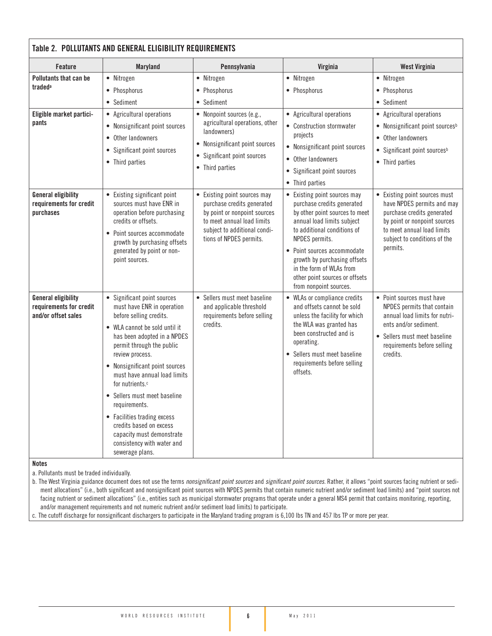| Table 2. POLLUTANTS AND GENERAL ELIGIBILITY REQUIREMENTS                     |                                                                                                                                                                                                                                                                                                                                                                                                                                                                                                |                                                                                                                                                                                     |                                                                                                                                                                                                                                                                                                                                    |                                                                                                                                                                                                     |  |  |
|------------------------------------------------------------------------------|------------------------------------------------------------------------------------------------------------------------------------------------------------------------------------------------------------------------------------------------------------------------------------------------------------------------------------------------------------------------------------------------------------------------------------------------------------------------------------------------|-------------------------------------------------------------------------------------------------------------------------------------------------------------------------------------|------------------------------------------------------------------------------------------------------------------------------------------------------------------------------------------------------------------------------------------------------------------------------------------------------------------------------------|-----------------------------------------------------------------------------------------------------------------------------------------------------------------------------------------------------|--|--|
| <b>Feature</b>                                                               | <b>Maryland</b>                                                                                                                                                                                                                                                                                                                                                                                                                                                                                | Pennsylvania                                                                                                                                                                        | Virginia                                                                                                                                                                                                                                                                                                                           | <b>West Virginia</b>                                                                                                                                                                                |  |  |
| <b>Pollutants that can be</b><br>traded <sup>a</sup>                         | • Nitrogen<br>• Phosphorus<br>• Sediment                                                                                                                                                                                                                                                                                                                                                                                                                                                       | • Nitrogen<br>• Phosphorus<br>• Sediment                                                                                                                                            | • Nitrogen<br>• Phosphorus                                                                                                                                                                                                                                                                                                         | • Nitrogen<br>• Phosphorus<br>• Sediment                                                                                                                                                            |  |  |
| Eligible market partici-<br>pants                                            | • Agricultural operations<br>• Nonsignificant point sources<br>• Other landowners<br>• Significant point sources<br>• Third parties                                                                                                                                                                                                                                                                                                                                                            | • Nonpoint sources (e.g.,<br>agricultural operations, other<br>landowners)<br>• Nonsignificant point sources<br>• Significant point sources<br>• Third parties                      | • Agricultural operations<br>• Construction stormwater<br>projects<br>• Nonsignificant point sources<br>• Other landowners<br>• Significant point sources<br>• Third parties                                                                                                                                                       | • Agricultural operations<br>• Nonsignificant point sources <sup>b</sup><br>• Other landowners<br>• Significant point sources <sup>b</sup><br>• Third parties                                       |  |  |
| <b>General eligibility</b><br>requirements for credit<br>purchases           | • Existing significant point<br>sources must have ENR in<br>operation before purchasing<br>credits or offsets.<br>• Point sources accommodate<br>growth by purchasing offsets<br>generated by point or non-<br>point sources.                                                                                                                                                                                                                                                                  | • Existing point sources may<br>purchase credits generated<br>by point or nonpoint sources<br>to meet annual load limits<br>subject to additional condi-<br>tions of NPDES permits. | • Existing point sources may<br>purchase credits generated<br>by other point sources to meet<br>annual load limits subject<br>to additional conditions of<br>NPDES permits.<br>• Point sources accommodate<br>growth by purchasing offsets<br>in the form of WLAs from<br>other point sources or offsets<br>from nonpoint sources. | • Existing point sources must<br>have NPDES permits and may<br>purchase credits generated<br>by point or nonpoint sources<br>to meet annual load limits<br>subject to conditions of the<br>permits. |  |  |
| <b>General eligibility</b><br>requirements for credit<br>and/or offset sales | • Significant point sources<br>must have ENR in operation<br>before selling credits.<br>• WLA cannot be sold until it<br>has been adopted in a NPDES<br>permit through the public<br>review process.<br>• Nonsignificant point sources<br>must have annual load limits<br>for nutrients. <sup>c</sup><br>• Sellers must meet baseline<br>requirements.<br>• Facilities trading excess<br>credits based on excess<br>capacity must demonstrate<br>consistency with water and<br>sewerage plans. | • Sellers must meet baseline<br>and applicable threshold<br>requirements before selling<br>credits.                                                                                 | • WLAs or compliance credits<br>and offsets cannot be sold<br>unless the facility for which<br>the WLA was granted has<br>been constructed and is<br>operating.<br>• Sellers must meet baseline<br>requirements before selling<br>offsets.                                                                                         | • Point sources must have<br>NPDES permits that contain<br>annual load limits for nutri-<br>ents and/or sediment.<br>• Sellers must meet baseline<br>requirements before selling<br>credits.        |  |  |

#### Notes

a. Pollutants must be traded individually.

b. The West Virginia guidance document does not use the terms *nonsignificant point sources* and *significant point sources.* Rather, it allows "point sources facing nutrient or sediment allocations" (i.e., both significant and nonsignificant point sources with NPDES permits that contain numeric nutrient and/or sediment load limits) and "point sources not facing nutrient or sediment allocations" (i.e., entities such as municipal stormwater programs that operate under a general MS4 permit that contains monitoring, reporting, and/or management requirements and not numeric nutrient and/or sediment load limits) to participate.

c. The cutoff discharge for nonsignificant dischargers to participate in the Maryland trading program is 6,100 lbs TN and 457 lbs TP or more per year.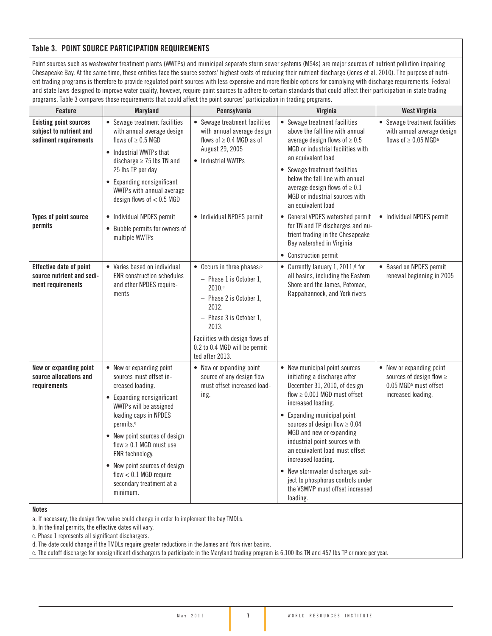#### Table 3. POINT SOURCE PARTICIPATION REQUIREMENTS

Point sources such as wastewater treatment plants (WWTPs) and municipal separate storm sewer systems (MS4s) are major sources of nutrient pollution impairing Chesapeake Bay. At the same time, these entities face the source sectors' highest costs of reducing their nutrient discharge (Jones et al. 2010). The purpose of nutrient trading programs is therefore to provide regulated point sources with less expensive and more flexible options for complying with discharge requirements. Federal and state laws designed to improve water quality, however, require point sources to adhere to certain standards that could affect their participation in state trading programs. Table 3 compares those requirements that could affect the point sources' participation in trading programs.

| Feature                                                                           | <b>Maryland</b>                                                                                                                                                                                                                                                                                                                                                            | Pennsylvania                                                                                                                                                                                                                        | Virginia                                                                                                                                                                                                                                                                                                                                                                                                                                                                   | <b>West Virginia</b>                                                                                            |
|-----------------------------------------------------------------------------------|----------------------------------------------------------------------------------------------------------------------------------------------------------------------------------------------------------------------------------------------------------------------------------------------------------------------------------------------------------------------------|-------------------------------------------------------------------------------------------------------------------------------------------------------------------------------------------------------------------------------------|----------------------------------------------------------------------------------------------------------------------------------------------------------------------------------------------------------------------------------------------------------------------------------------------------------------------------------------------------------------------------------------------------------------------------------------------------------------------------|-----------------------------------------------------------------------------------------------------------------|
| <b>Existing point sources</b><br>subject to nutrient and<br>sediment requirements | • Sewage treatment facilities<br>with annual average design<br>flows of $\geq$ 0.5 MGD<br>• Industrial WWTPs that<br>discharge $\geq$ 75 lbs TN and<br>25 lbs TP per day<br>• Expanding nonsignificant<br>WWTPs with annual average<br>design flows of $< 0.5$ MGD                                                                                                         | • Sewage treatment facilities<br>with annual average design<br>flows of $\geq$ 0.4 MGD as of<br>August 29, 2005<br>• Industrial WWTPs                                                                                               | • Sewage treatment facilities<br>above the fall line with annual<br>average design flows of $\geq 0.5$<br>MGD or industrial facilities with<br>an equivalent load<br>• Sewage treatment facilities<br>below the fall line with annual<br>average design flows of $\geq 0.1$<br>MGD or industrial sources with<br>an equivalent load                                                                                                                                        | • Sewage treatment facilities<br>with annual average design<br>flows of $\geq$ 0.05 MGD <sup>a</sup>            |
| Types of point source<br>permits                                                  | • Individual NPDES permit<br>• Bubble permits for owners of<br>multiple WWTPs                                                                                                                                                                                                                                                                                              | • Individual NPDES permit                                                                                                                                                                                                           | • General VPDES watershed permit<br>for TN and TP discharges and nu-<br>trient trading in the Chesapeake<br>Bay watershed in Virginia<br>• Construction permit                                                                                                                                                                                                                                                                                                             | • Individual NPDES permit                                                                                       |
| Effective date of point<br>source nutrient and sedi-<br>ment requirements         | • Varies based on individual<br><b>ENR</b> construction schedules<br>and other NPDES require-<br>ments                                                                                                                                                                                                                                                                     | • Occurs in three phases:b<br>$-$ Phase 1 is October 1,<br>2010.°<br>$-$ Phase 2 is October 1,<br>2012.<br>- Phase 3 is October 1,<br>2013.<br>Facilities with design flows of<br>0.2 to 0.4 MGD will be permit-<br>ted after 2013. | • Currently January 1, 2011, <sup>d</sup> for<br>all basins, including the Eastern<br>Shore and the James, Potomac,<br>Rappahannock, and York rivers                                                                                                                                                                                                                                                                                                                       | • Based on NPDES permit<br>renewal beginning in 2005                                                            |
| New or expanding point<br>source allocations and<br>requirements                  | • New or expanding point<br>sources must offset in-<br>creased loading.<br>• Expanding nonsignificant<br>WWTPs will be assigned<br>loading caps in NPDES<br>permits. <sup>e</sup><br>• New point sources of design<br>flow $\geq 0.1$ MGD must use<br>ENR technology.<br>• New point sources of design<br>flow $< 0.1$ MGD require<br>secondary treatment at a<br>minimum. | • New or expanding point<br>source of any design flow<br>must offset increased load-<br>ing.                                                                                                                                        | • New municipal point sources<br>initiating a discharge after<br>December 31, 2010, of design<br>flow $\geq 0.001$ MGD must offset<br>increased loading.<br>• Expanding municipal point<br>sources of design flow $\geq 0.04$<br>MGD and new or expanding<br>industrial point sources with<br>an equivalent load must offset<br>increased loading.<br>• New stormwater discharges sub-<br>ject to phosphorus controls under<br>the VSWMP must offset increased<br>loading. | • New or expanding point<br>sources of design flow ≥<br>0.05 MGD <sup>a</sup> must offset<br>increased loading. |

Notes

a. If necessary, the design flow value could change in order to implement the bay TMDLs.

b. In the final permits, the effective dates will vary.

c. Phase 1 represents all significant dischargers.

d. The date could change if the TMDLs require greater reductions in the James and York river basins.

e. The cutoff discharge for nonsignificant dischargers to participate in the Maryland trading program is 6,100 lbs TN and 457 lbs TP or more per year.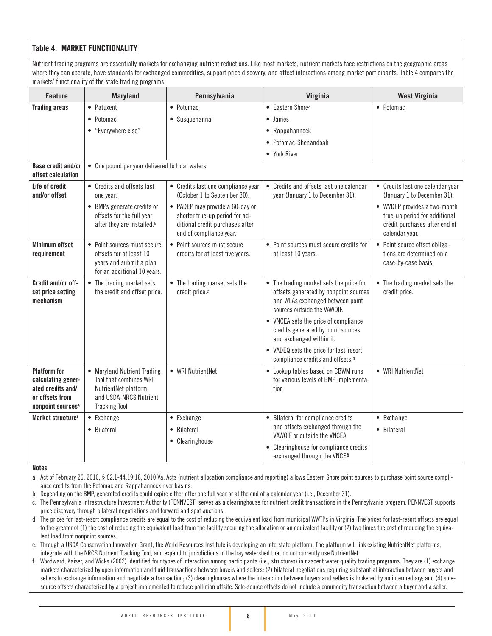#### Table 4. MARKET FUNCTIONALITY

Nutrient trading programs are essentially markets for exchanging nutrient reductions. Like most markets, nutrient markets face restrictions on the geographic areas where they can operate, have standards for exchanged commodities, support price discovery, and affect interactions among market participants. Table 4 compares the markets' functionality of the state trading programs.

| <b>Feature</b>                                                                                                     | <b>Maryland</b>                                                                                                                 | Pennsylvania                                                                                                                    | Virginia                                                                                                                                                                        | <b>West Virginia</b>                                                                                             |
|--------------------------------------------------------------------------------------------------------------------|---------------------------------------------------------------------------------------------------------------------------------|---------------------------------------------------------------------------------------------------------------------------------|---------------------------------------------------------------------------------------------------------------------------------------------------------------------------------|------------------------------------------------------------------------------------------------------------------|
| <b>Trading areas</b>                                                                                               | • Patuxent                                                                                                                      | • Potomac                                                                                                                       | • Eastern Shore <sup>a</sup>                                                                                                                                                    | • Potomac                                                                                                        |
|                                                                                                                    | • Potomac                                                                                                                       | • Susquehanna                                                                                                                   | • James                                                                                                                                                                         |                                                                                                                  |
|                                                                                                                    | • "Everywhere else"                                                                                                             |                                                                                                                                 | • Rappahannock                                                                                                                                                                  |                                                                                                                  |
|                                                                                                                    |                                                                                                                                 |                                                                                                                                 | • Potomac-Shenandoah                                                                                                                                                            |                                                                                                                  |
|                                                                                                                    |                                                                                                                                 |                                                                                                                                 | • York River                                                                                                                                                                    |                                                                                                                  |
| <b>Base credit and/or</b><br>offset calculation                                                                    | • One pound per year delivered to tidal waters                                                                                  |                                                                                                                                 |                                                                                                                                                                                 |                                                                                                                  |
| Life of credit<br>and/or offset                                                                                    | • Credits and offsets last<br>one year.                                                                                         | • Credits last one compliance year<br>(October 1 to September 30).                                                              | • Credits and offsets last one calendar<br>year (January 1 to December 31).                                                                                                     | • Credits last one calendar year<br>(January 1 to December 31).                                                  |
|                                                                                                                    | • BMPs generate credits or<br>offsets for the full year<br>after they are installed. <sup>b</sup>                               | • PADEP may provide a 60-day or<br>shorter true-up period for ad-<br>ditional credit purchases after<br>end of compliance year. |                                                                                                                                                                                 | • WVDEP provides a two-month<br>true-up period for additional<br>credit purchases after end of<br>calendar year. |
| <b>Minimum offset</b><br>requirement                                                                               | • Point sources must secure<br>offsets for at least 10<br>years and submit a plan<br>for an additional 10 years.                | • Point sources must secure<br>credits for at least five years.                                                                 | • Point sources must secure credits for<br>at least 10 years.                                                                                                                   | • Point source offset obliga-<br>tions are determined on a<br>case-by-case basis.                                |
| Credit and/or off-<br>set price setting<br>mechanism                                                               | • The trading market sets<br>the credit and offset price.                                                                       | • The trading market sets the<br>credit price. <sup>c</sup>                                                                     | • The trading market sets the price for<br>offsets generated by nonpoint sources<br>and WLAs exchanged between point<br>sources outside the VAWQIF.                             | • The trading market sets the<br>credit price.                                                                   |
|                                                                                                                    |                                                                                                                                 |                                                                                                                                 | • VNCEA sets the price of compliance<br>credits generated by point sources<br>and exchanged within it.                                                                          |                                                                                                                  |
|                                                                                                                    |                                                                                                                                 |                                                                                                                                 | • VADEQ sets the price for last-resort<br>compliance credits and offsets. <sup>d</sup>                                                                                          |                                                                                                                  |
| <b>Platform for</b><br>calculating gener-<br>ated credits and/<br>or offsets from<br>nonpoint sources <sup>e</sup> | • Maryland Nutrient Trading<br>Tool that combines WRI<br>NutrientNet platform<br>and USDA-NRCS Nutrient<br><b>Tracking Tool</b> | • WRI NutrientNet                                                                                                               | • Lookup tables based on CBWM runs<br>for various levels of BMP implementa-<br>tion                                                                                             | • WRI NutrientNet                                                                                                |
| Market structuref                                                                                                  | • Exchange<br>• Bilateral                                                                                                       | • Exchange<br>• Bilateral<br>• Clearinghouse                                                                                    | • Bilateral for compliance credits<br>and offsets exchanged through the<br>VAWQIF or outside the VNCEA<br>• Clearinghouse for compliance credits<br>exchanged through the VNCEA | • Exchange<br>• Bilateral                                                                                        |

#### **Notes**

a. Act of February 26, 2010, § 62.1-44.19:18, 2010 Va. Acts (nutrient allocation compliance and reporting) allows Eastern Shore point sources to purchase point source compliance credits from the Potomac and Rappahannock river basins.

b. Depending on the BMP, generated credits could expire either after one full year or at the end of a calendar year (i.e., December 31).

- c. The Pennsylvania Infrastructure Investment Authority (PENNVEST) serves as a clearinghouse for nutrient credit transactions in the Pennsylvania program. PENNVEST supports price discovery through bilateral negotiations and forward and spot auctions.
- d. The prices for last-resort compliance credits are equal to the cost of reducing the equivalent load from municipal WWTPs in Virginia. The prices for last-resort offsets are equal to the greater of (1) the cost of reducing the equivalent load from the facility securing the allocation or an equivalent facility or (2) two times the cost of reducing the equivalent load from nonpoint sources.
- e. Through a USDA Conservation Innovation Grant, the World Resources Institute is developing an interstate platform. The platform will link existing NutrientNet platforms, integrate with the NRCS Nutrient Tracking Tool, and expand to jurisdictions in the bay watershed that do not currently use NutrientNet.
- f. Woodward, Kaiser, and Wicks (2002) identified four types of interaction among participants (i.e., structures) in nascent water quality trading programs. They are (1) exchange markets characterized by open information and fluid transactions between buyers and sellers; (2) bilateral negotiations requiring substantial interaction between buyers and sellers to exchange information and negotiate a transaction; (3) clearinghouses where the interaction between buyers and sellers is brokered by an intermediary; and (4) solesource offsets characterized by a project implemented to reduce pollution offsite. Sole-source offsets do not include a commodity transaction between a buyer and a seller.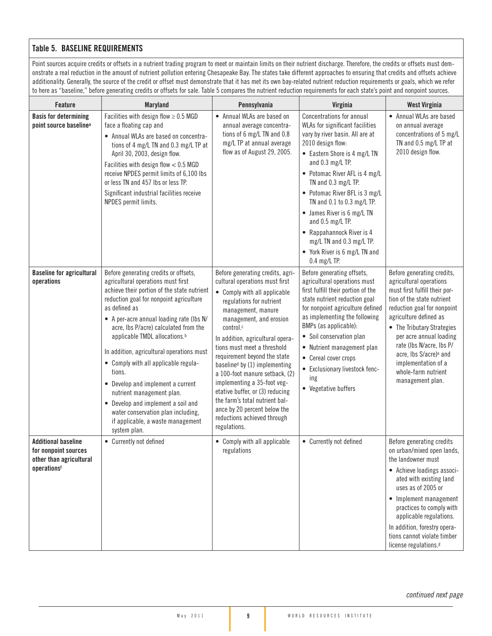#### Table 5. BASELINE REQUIREMENTS

Point sources acquire credits or offsets in a nutrient trading program to meet or maintain limits on their nutrient discharge. Therefore, the credits or offsets must demonstrate a real reduction in the amount of nutrient pollution entering Chesapeake Bay. The states take different approaches to ensuring that credits and offsets achieve additionality. Generally, the source of the credit or offset must demonstrate that it has met its own bay-related nutrient reduction requirements or goals, which we refer to here as "baseline," before generating credits or offsets for sale. Table 5 compares the nutrient reduction requirements for each state's point and nonpoint sources.

| Feature                                                                                      | <b>Maryland</b>                                                                                                                                                                                                                                                                                                                                                                                                                                                                                                                                                                                                            | Pennsylvania                                                                                                                                                                                                                                                                                                                                                                                                                                                                                                                                          | Virginia                                                                                                                                                                                                                                                                                                                                                                                                                                                    | <b>West Virginia</b>                                                                                                                                                                                                                                                                                                                                                       |
|----------------------------------------------------------------------------------------------|----------------------------------------------------------------------------------------------------------------------------------------------------------------------------------------------------------------------------------------------------------------------------------------------------------------------------------------------------------------------------------------------------------------------------------------------------------------------------------------------------------------------------------------------------------------------------------------------------------------------------|-------------------------------------------------------------------------------------------------------------------------------------------------------------------------------------------------------------------------------------------------------------------------------------------------------------------------------------------------------------------------------------------------------------------------------------------------------------------------------------------------------------------------------------------------------|-------------------------------------------------------------------------------------------------------------------------------------------------------------------------------------------------------------------------------------------------------------------------------------------------------------------------------------------------------------------------------------------------------------------------------------------------------------|----------------------------------------------------------------------------------------------------------------------------------------------------------------------------------------------------------------------------------------------------------------------------------------------------------------------------------------------------------------------------|
| <b>Basis for determining</b><br>point source baseline <sup>a</sup>                           | Facilities with design flow $\geq 0.5$ MGD<br>face a floating cap and<br>• Annual WLAs are based on concentra-<br>tions of 4 mg/L TN and 0.3 mg/L TP at<br>April 30, 2003, design flow.<br>Facilities with design flow $< 0.5$ MGD<br>receive NPDES permit limits of 6,100 lbs<br>or less TN and 457 lbs or less TP.<br>Significant industrial facilities receive<br>NPDES permit limits.                                                                                                                                                                                                                                  | • Annual WLAs are based on<br>annual average concentra-<br>tions of 6 mg/L TN and 0.8<br>mg/L TP at annual average<br>flow as of August 29, 2005.                                                                                                                                                                                                                                                                                                                                                                                                     | Concentrations for annual<br>WLAs for significant facilities<br>vary by river basin. All are at<br>2010 design flow:<br>• Eastern Shore is 4 mg/L TN<br>and 0.3 mg/L TP.<br>• Potomac River AFL is 4 mg/L<br>TN and 0.3 mg/L TP.<br>• Potomac River BFL is 3 mg/L<br>TN and 0.1 to 0.3 mg/L TP.<br>• James River is 6 mg/L TN<br>and 0.5 mg/L TP.<br>• Rappahannock River is 4<br>mg/L TN and 0.3 mg/L TP.<br>• York River is 6 mg/L TN and<br>0.4 mg/L TP. | • Annual WLAs are based<br>on annual average<br>concentrations of 5 mg/L<br>TN and 0.5 mg/L TP at<br>2010 design flow.                                                                                                                                                                                                                                                     |
| <b>Baseline for agricultural</b><br>operations                                               | Before generating credits or offsets,<br>agricultural operations must first<br>achieve their portion of the state nutrient<br>reduction goal for nonpoint agriculture<br>as defined as<br>• A per-acre annual loading rate (lbs N/<br>acre, Ibs P/acre) calculated from the<br>applicable TMDL allocations. <sup>b</sup><br>In addition, agricultural operations must<br>• Comply with all applicable regula-<br>tions.<br>• Develop and implement a current<br>nutrient management plan.<br>• Develop and implement a soil and<br>water conservation plan including,<br>if applicable, a waste management<br>system plan. | Before generating credits, agri-<br>cultural operations must first<br>• Comply with all applicable<br>regulations for nutrient<br>management, manure<br>management, and erosion<br>control.c<br>In addition, agricultural opera-<br>tions must meet a threshold<br>requirement beyond the state<br>baselined by (1) implementing<br>a 100-foot manure setback, (2)<br>implementing a 35-foot veg-<br>etative buffer, or (3) reducing<br>the farm's total nutrient bal-<br>ance by 20 percent below the<br>reductions achieved through<br>regulations. | Before generating offsets,<br>agricultural operations must<br>first fulfill their portion of the<br>state nutrient reduction goal<br>for nonpoint agriculture defined<br>as implementing the following<br>BMPs (as applicable):<br>Soil conservation plan<br>$\bullet$<br>• Nutrient management plan<br>• Cereal cover crops<br>Exclusionary livestock fenc-<br>$\bullet$<br>ing<br>• Vegetative buffers                                                    | Before generating credits,<br>agricultural operations<br>must first fulfill their por-<br>tion of the state nutrient<br>reduction goal for nonpoint<br>agriculture defined as<br>• The Tributary Strategies<br>per acre annual loading<br>rate (Ibs N/acre, Ibs P/<br>acre, Ibs S/acre) <sup>e</sup> and<br>implementation of a<br>whole-farm nutrient<br>management plan. |
| <b>Additional baseline</b><br>for nonpoint sources<br>other than agricultural<br>operationsf | • Currently not defined                                                                                                                                                                                                                                                                                                                                                                                                                                                                                                                                                                                                    | • Comply with all applicable<br>regulations                                                                                                                                                                                                                                                                                                                                                                                                                                                                                                           | • Currently not defined                                                                                                                                                                                                                                                                                                                                                                                                                                     | Before generating credits<br>on urban/mixed open lands,<br>the landowner must<br>• Achieve loadings associ-<br>ated with existing land<br>uses as of 2005 or<br>• Implement management<br>practices to comply with<br>applicable regulations.<br>In addition, forestry opera-<br>tions cannot violate timber<br>license regulations. <sup>g</sup>                          |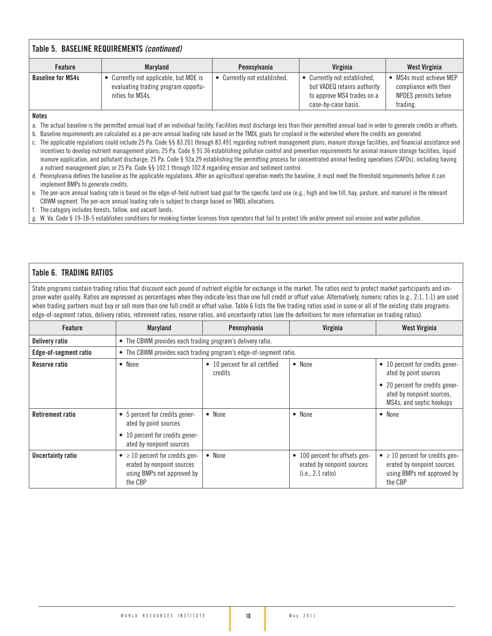#### **Baseline for MS4s**  $\cdot$  Currently not applicable, but MDE is evaluating trading program opportunities for MS4s. • Currently not established.  $\bullet$  Currently not established, but VADEQ retains authority to approve MS4 trades on a case-by-case basis. • MS4s must achieve MEP compliance with their NPDES permits before trading. Table 5. BASELINE REQUIREMENTS *(continued)* Feature | Maryland | Pennsylvania | Virginia | West Virginia

Notes

a. The actual baseline is the permitted annual load of an individual facility. Facilities must discharge less than their permitted annual load in order to generate credits or offsets.

b. Baseline requirements are calculated as a per-acre annual loading rate based on the TMDL goals for cropland in the watershed where the credits are generated.

- c. The applicable regulations could include 25 Pa. Code §§ 83.201 through 83.491 regarding nutrient management plans, manure storage facilities, and financial assistance and incentives to develop nutrient management plans; 25 Pa. Code § 91.36 establishing pollution control and prevention requirements for animal manure storage facilities, liquid manure application, and pollutant discharge; 25 Pa. Code § 92a.29 establishing the permitting process for concentrated animal feeding operations (CAFOs), including having a nutrient management plan; or 25 Pa. Code §§ 102.1 through 102.8 regarding erosion and sediment control.
- d. Pennsylvania defines the baseline as the applicable regulations. After an agricultural operation meets the baseline, it must meet the threshold requirements before it can implement BMPs to generate credits.
- e. The per-acre annual loading rate is based on the edge-of-field nutrient load goal for the specific land use (e.g., high and low till, hay, pasture, and manure) in the relevant CBWM segment. The per-acre annual loading rate is subject to change based on TMDL allocations.
- f. The category includes forests, fallow, and vacant lands.
- g. W. Va. Code § 19-1B-5 establishes conditions for revoking timber licenses from operators that fail to protect life and/or prevent soil erosion and water pollution.

#### Table 6. TRADING RATIOS

State programs contain trading ratios that discount each pound of nutrient eligible for exchange in the market. The ratios exist to protect market participants and improve water quality. Ratios are expressed as percentages when they indicate less than one full credit or offset value. Alternatively, numeric ratios (e.g., 2:1, 1:1) are used when trading partners must buy or sell more than one full credit or offset value. Table 6 lists the five trading ratios used in some or all of the existing state programs: edge-of-segment ratios, delivery ratios, retirement ratios, reserve ratios, and uncertainty ratios (see the definitions for more information on trading ratios).

| Feature                 | Maryland                                                                                                               | Pennsylvania                                                      | Virginia                                                                          | West Virginia                                                                                                                                        |
|-------------------------|------------------------------------------------------------------------------------------------------------------------|-------------------------------------------------------------------|-----------------------------------------------------------------------------------|------------------------------------------------------------------------------------------------------------------------------------------------------|
| <b>Delivery ratio</b>   | • The CBWM provides each trading program's delivery ratio.                                                             |                                                                   |                                                                                   |                                                                                                                                                      |
| Edge-of-segment ratio   |                                                                                                                        | • The CBWM provides each trading program's edge-of-segment ratio. |                                                                                   |                                                                                                                                                      |
| Reserve ratio           | • None                                                                                                                 | • 10 percent for all certified<br>credits                         | • None                                                                            | • 10 percent for credits gener-<br>ated by point sources<br>• 20 percent for credits gener-<br>ated by nonpoint sources,<br>MS4s, and septic hookups |
| <b>Retirement ratio</b> | • 5 percent for credits gener-<br>ated by point sources<br>• 10 percent for credits gener-<br>ated by nonpoint sources | • None                                                            | • None                                                                            | • None                                                                                                                                               |
| Uncertainty ratio       | $\bullet \geq 10$ percent for credits gen-<br>erated by nonpoint sources<br>using BMPs not approved by<br>the CBP      | • None                                                            | • 100 percent for offsets gen-<br>erated by nonpoint sources<br>(i.e., 2:1 ratio) | $\bullet$ $\geq$ 10 percent for credits gen-<br>erated by nonpoint sources<br>using BMPs not approved by<br>the CBP                                  |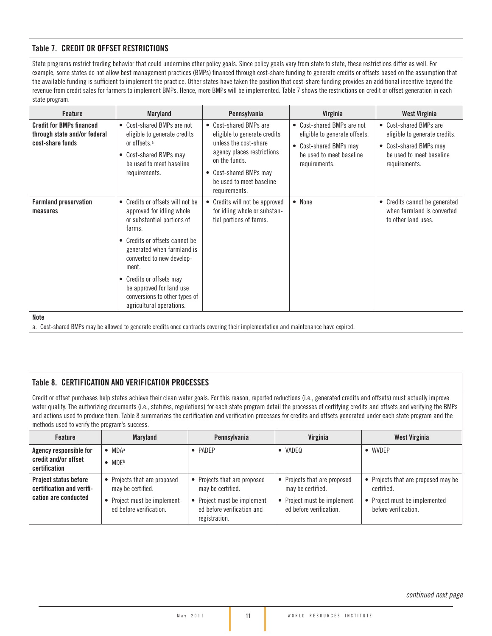#### Table 7. CREDIT OR OFFSET RESTRICTIONS

State programs restrict trading behavior that could undermine other policy goals. Since policy goals vary from state to state, these restrictions differ as well. For example, some states do not allow best management practices (BMPs) financed through cost-share funding to generate credits or offsets based on the assumption that the available funding is sufficient to implement the practice. Other states have taken the position that cost-share funding provides an additional incentive beyond the revenue from credit sales for farmers to implement BMPs. Hence, more BMPs will be implemented. Table 7 shows the restrictions on credit or offset generation in each state program.

| Feature                                                                             | <b>Maryland</b>                                                                                                                                                                                                                                                                                                                  | Pennsylvania                                                                                                                                                                                          | Virginia                                                                                                                           | <b>West Virginia</b>                                                                                                           |
|-------------------------------------------------------------------------------------|----------------------------------------------------------------------------------------------------------------------------------------------------------------------------------------------------------------------------------------------------------------------------------------------------------------------------------|-------------------------------------------------------------------------------------------------------------------------------------------------------------------------------------------------------|------------------------------------------------------------------------------------------------------------------------------------|--------------------------------------------------------------------------------------------------------------------------------|
| <b>Credit for BMPs financed</b><br>through state and/or federal<br>cost-share funds | • Cost-shared BMPs are not<br>eligible to generate credits<br>or offsets. <sup>a</sup><br>• Cost-shared BMPs may<br>be used to meet baseline<br>requirements.                                                                                                                                                                    | • Cost-shared BMPs are<br>eligible to generate credits<br>unless the cost-share<br>agency places restrictions<br>on the funds.<br>• Cost-shared BMPs may<br>be used to meet baseline<br>requirements. | • Cost-shared BMPs are not<br>eligible to generate offsets.<br>• Cost-shared BMPs may<br>be used to meet baseline<br>requirements. | • Cost-shared BMPs are<br>eligible to generate credits.<br>• Cost-shared BMPs may<br>be used to meet baseline<br>requirements. |
| <b>Farmland preservation</b><br>measures                                            | • Credits or offsets will not be<br>approved for idling whole<br>or substantial portions of<br>farms.<br>• Credits or offsets cannot be<br>generated when farmland is<br>converted to new develop-<br>ment.<br>• Credits or offsets may<br>be approved for land use<br>conversions to other types of<br>agricultural operations. | Credits will not be approved<br>for idling whole or substan-<br>tial portions of farms.                                                                                                               | • None                                                                                                                             | • Credits cannot be generated<br>when farmland is converted<br>to other land uses.                                             |
| <b>Note</b>                                                                         |                                                                                                                                                                                                                                                                                                                                  |                                                                                                                                                                                                       |                                                                                                                                    |                                                                                                                                |

a. Cost-shared BMPs may be allowed to generate credits once contracts covering their implementation and maintenance have expired.

#### Table 8. CERTIFICATION AND VERIFICATION PROCESSES

Credit or offset purchases help states achieve their clean water goals. For this reason, reported reductions (i.e., generated credits and offsets) must actually improve water quality. The authorizing documents (i.e., statutes, regulations) for each state program detail the processes of certifying credits and offsets and verifying the BMPs and actions used to produce them. Table 8 summarizes the certification and verification processes for credits and offsets generated under each state program and the methods used to verify the program's success.

| <b>Feature</b>                                                             | Maryland                                                                                                     | Pennsylvania                                                                                                                     | Virginia                                                                                                     | West Virginia                                                                                              |
|----------------------------------------------------------------------------|--------------------------------------------------------------------------------------------------------------|----------------------------------------------------------------------------------------------------------------------------------|--------------------------------------------------------------------------------------------------------------|------------------------------------------------------------------------------------------------------------|
| Agency responsible for<br>credit and/or offset<br>certification            | $\bullet$ MDA <sup>a</sup><br>$\bullet$ MDFb                                                                 | • PADEP                                                                                                                          | VADEQ                                                                                                        | • WVDEP                                                                                                    |
| Project status before<br>certification and verifi-<br>cation are conducted | • Projects that are proposed<br>may be certified.<br>• Project must be implement-<br>ed before verification. | • Projects that are proposed<br>may be certified.<br>• Project must be implement-<br>ed before verification and<br>registration. | • Projects that are proposed<br>may be certified.<br>• Project must be implement-<br>ed before verification. | • Projects that are proposed may be<br>certified.<br>• Project must be implemented<br>before verification. |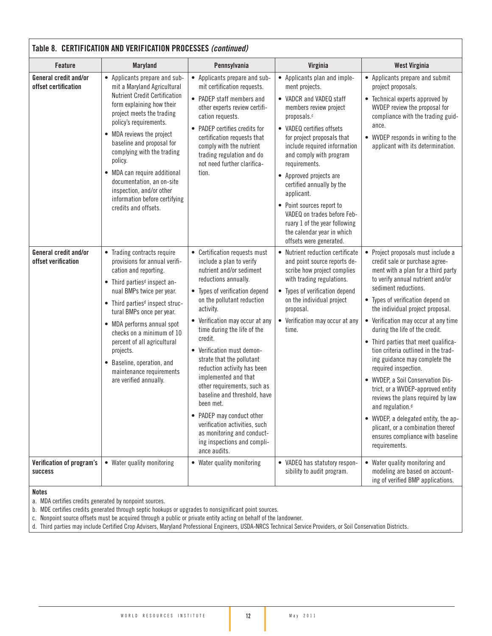| Table 8. CERTIFICATION AND VERIFICATION PROCESSES (continued) |                                                                                                                                                                                                                                                                                                                                                                                                                                               |                                                                                                                                                                                                                                                                                                                                                                                                                                                                                                                                                                                                                  |                                                                                                                                                                                                                                                                                                                                                                                                                                                                                       |                                                                                                                                                                                                                                                                                                                                                                                                                                                                                                                                                                                                                                                                                                                                                    |  |  |
|---------------------------------------------------------------|-----------------------------------------------------------------------------------------------------------------------------------------------------------------------------------------------------------------------------------------------------------------------------------------------------------------------------------------------------------------------------------------------------------------------------------------------|------------------------------------------------------------------------------------------------------------------------------------------------------------------------------------------------------------------------------------------------------------------------------------------------------------------------------------------------------------------------------------------------------------------------------------------------------------------------------------------------------------------------------------------------------------------------------------------------------------------|---------------------------------------------------------------------------------------------------------------------------------------------------------------------------------------------------------------------------------------------------------------------------------------------------------------------------------------------------------------------------------------------------------------------------------------------------------------------------------------|----------------------------------------------------------------------------------------------------------------------------------------------------------------------------------------------------------------------------------------------------------------------------------------------------------------------------------------------------------------------------------------------------------------------------------------------------------------------------------------------------------------------------------------------------------------------------------------------------------------------------------------------------------------------------------------------------------------------------------------------------|--|--|
| <b>Feature</b>                                                | <b>Maryland</b>                                                                                                                                                                                                                                                                                                                                                                                                                               | Pennsylvania                                                                                                                                                                                                                                                                                                                                                                                                                                                                                                                                                                                                     | Virginia                                                                                                                                                                                                                                                                                                                                                                                                                                                                              | <b>West Virginia</b>                                                                                                                                                                                                                                                                                                                                                                                                                                                                                                                                                                                                                                                                                                                               |  |  |
| General credit and/or<br>offset certification                 | • Applicants prepare and sub-<br>mit a Maryland Agricultural<br><b>Nutrient Credit Certification</b><br>form explaining how their<br>project meets the trading<br>policy's requirements.<br>• MDA reviews the project<br>baseline and proposal for<br>complying with the trading<br>policy.<br>• MDA can require additional<br>documentation, an on-site<br>inspection, and/or other<br>information before certifying<br>credits and offsets. | • Applicants prepare and sub-<br>mit certification requests.<br>• PADEP staff members and<br>other experts review certifi-<br>cation requests.<br>• PADEP certifies credits for<br>certification requests that<br>comply with the nutrient<br>trading regulation and do<br>not need further clarifica-<br>tion.                                                                                                                                                                                                                                                                                                  | • Applicants plan and imple-<br>ment projects.<br>• VADCR and VADEQ staff<br>members review project<br>proposals.c<br>• VADEQ certifies offsets<br>for project proposals that<br>include required information<br>and comply with program<br>requirements.<br>• Approved projects are<br>certified annually by the<br>applicant.<br>• Point sources report to<br>VADEQ on trades before Feb-<br>ruary 1 of the year following<br>the calendar year in which<br>offsets were generated. | • Applicants prepare and submit<br>project proposals.<br>• Technical experts approved by<br>WVDEP review the proposal for<br>compliance with the trading guid-<br>ance.<br>• WVDEP responds in writing to the<br>applicant with its determination.                                                                                                                                                                                                                                                                                                                                                                                                                                                                                                 |  |  |
| General credit and/or<br>offset verification                  | • Trading contracts require<br>provisions for annual verifi-<br>cation and reporting.<br>• Third parties <sup>d</sup> inspect an-<br>nual BMPs twice per year.<br>• Third parties <sup>d</sup> inspect struc-<br>tural BMPs once per year.<br>• MDA performs annual spot<br>checks on a minimum of 10<br>percent of all agricultural<br>projects.<br>• Baseline, operation, and<br>maintenance requirements<br>are verified annually.         | • Certification requests must<br>include a plan to verify<br>nutrient and/or sediment<br>reductions annually.<br>• Types of verification depend<br>on the pollutant reduction<br>activity.<br>• Verification may occur at any<br>time during the life of the<br>credit.<br>• Verification must demon-<br>strate that the pollutant<br>reduction activity has been<br>implemented and that<br>other requirements, such as<br>baseline and threshold, have<br>been met.<br>• PADEP may conduct other<br>verification activities, such<br>as monitoring and conduct-<br>ing inspections and compli-<br>ance audits. | • Nutrient reduction certificate<br>and point source reports de-<br>scribe how project complies<br>with trading regulations.<br>• Types of verification depend<br>on the individual project<br>proposal.<br>• Verification may occur at any<br>time.                                                                                                                                                                                                                                  | • Project proposals must include a<br>credit sale or purchase agree-<br>ment with a plan for a third party<br>to verify annual nutrient and/or<br>sediment reductions.<br>• Types of verification depend on<br>the individual project proposal.<br>• Verification may occur at any time<br>during the life of the credit.<br>• Third parties that meet qualifica-<br>tion criteria outlined in the trad-<br>ing guidance may complete the<br>required inspection.<br>• WVDEP, a Soil Conservation Dis-<br>trict, or a WVDEP-approved entity<br>reviews the plans required by law<br>and regulation. <sup>d</sup><br>• WVDEP, a delegated entity, the ap-<br>plicant, or a combination thereof<br>ensures compliance with baseline<br>requirements. |  |  |
| Verification of program's<br><b>success</b>                   | • Water quality monitoring                                                                                                                                                                                                                                                                                                                                                                                                                    | • Water quality monitoring                                                                                                                                                                                                                                                                                                                                                                                                                                                                                                                                                                                       | • VADEQ has statutory respon-<br>sibility to audit program.                                                                                                                                                                                                                                                                                                                                                                                                                           | • Water quality monitoring and<br>modeling are based on account-<br>ing of verified BMP applications.                                                                                                                                                                                                                                                                                                                                                                                                                                                                                                                                                                                                                                              |  |  |

Notes

a. MDA certifies credits generated by nonpoint sources.

b. MDE certifies credits generated through septic hookups or upgrades to nonsignificant point sources.

c. Nonpoint source offsets must be acquired through a public or private entity acting on behalf of the landowner.

d. Third parties may include Certified Crop Advisers, Maryland Professional Engineers, USDA-NRCS Technical Service Providers, or Soil Conservation Districts.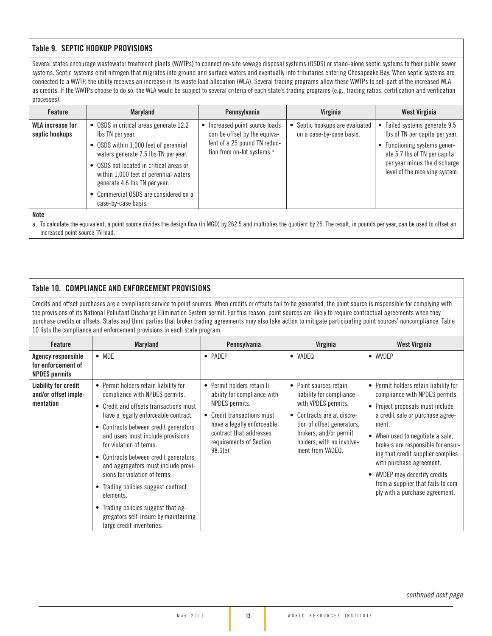#### Table 9. SEPTIC HOOKUP PROVISIONS

Several states encourage wastewater treatment plants (WWTPs) to connect on-site sewage disposal systems (OSDS) or stand-alone septic systems to their public sewer systems. Septic systems emit nitrogen that migrates into ground and surface waters and eventually into tributaries entering Chesapeake Bay. When septic systems are connected to a WWTP, the utility receives an increase in its waste load allocation (WLA). Several trading programs allow these WWTPs to sell part of the increased WLA as credits. If the WWTPs choose to do so, the WLA would be subject to several criteria of each state's trading programs (e.g., trading ratios, certification and verification processes).

| <b>Feature</b>                     | <b>Maryland</b>                                                                                                                                                                                                                                                                                                                  | Pennsylvania                                                                                                                           | Virginia                                                 | West Virginia                                                                                                                                                                                     |
|------------------------------------|----------------------------------------------------------------------------------------------------------------------------------------------------------------------------------------------------------------------------------------------------------------------------------------------------------------------------------|----------------------------------------------------------------------------------------------------------------------------------------|----------------------------------------------------------|---------------------------------------------------------------------------------------------------------------------------------------------------------------------------------------------------|
| WLA increase for<br>septic hookups | • OSDS in critical areas generate 12.2<br>Ibs TN per year.<br>• OSDS within 1,000 feet of perennial<br>waters generate 7.5 lbs TN per year.<br>• OSDS not located in critical areas or<br>within 1,000 feet of perennial waters<br>generate 4.6 lbs TN per year.<br>• Commercial OSDS are considered on a<br>case-by-case basis. | Increased point source loads<br>can be offset by the equiva-<br>lent of a 25 pound TN reduc-<br>tion from on-lot systems. <sup>a</sup> | Septic hookups are evaluated<br>on a case-by-case basis. | • Failed systems generate 9.5<br>Ibs of TN per capita per year.<br>• Functioning systems gener-<br>ate 5.7 lbs of TN per capita<br>per year minus the discharge<br>level of the receiving system. |

Note

a. To calculate the equivalent, a point source divides the design flow (in MGD) by 262.5 and multiplies the quotient by 25. The result, in pounds per year, can be used to offset an increased point source TN load.

#### Table 10. COMPLIANCE AND ENFORCEMENT PROVISIONS

Credits and offset purchases are a compliance service to point sources. When credits or offsets fail to be generated, the point source is responsible for complying with the provisions of its National Pollutant Discharge Elimination System permit. For this reason, point sources are likely to require contractual agreements when they purchase credits or offsets. States and third parties that broker trading agreements may also take action to mitigate participating point sources' noncompliance. Table 10 lists the compliance and enforcement provisions in each state program.

| <b>Feature</b>                                                   | <b>Maryland</b>                                                                                                                                                                                                                                                                                                                                                                                                                                                                                                                                     | Pennsylvania                                                                                                                                                                                                  | Virginia                                                                                                                                                                                                         | West Virginia                                                                                                                                                                                                                                                                                                                                                                                                |
|------------------------------------------------------------------|-----------------------------------------------------------------------------------------------------------------------------------------------------------------------------------------------------------------------------------------------------------------------------------------------------------------------------------------------------------------------------------------------------------------------------------------------------------------------------------------------------------------------------------------------------|---------------------------------------------------------------------------------------------------------------------------------------------------------------------------------------------------------------|------------------------------------------------------------------------------------------------------------------------------------------------------------------------------------------------------------------|--------------------------------------------------------------------------------------------------------------------------------------------------------------------------------------------------------------------------------------------------------------------------------------------------------------------------------------------------------------------------------------------------------------|
| Agency responsible<br>for enforcement of<br><b>NPDES permits</b> | $\bullet$ MDE                                                                                                                                                                                                                                                                                                                                                                                                                                                                                                                                       | • PADEP                                                                                                                                                                                                       | • VADEQ                                                                                                                                                                                                          | • WVDEP                                                                                                                                                                                                                                                                                                                                                                                                      |
| Liability for credit<br>and/or offset imple-<br>mentation        | • Permit holders retain liability for<br>compliance with NPDES permits.<br>• Credit and offsets transactions must<br>have a legally enforceable contract.<br>• Contracts between credit generators<br>and users must include provisions<br>for violation of terms.<br>• Contracts between credit generators<br>and aggregators must include provi-<br>sions for violation of terms.<br>• Trading policies suggest contract<br>elements.<br>• Trading policies suggest that ag-<br>gregators self-insure by maintaining<br>large credit inventories. | • Permit holders retain li-<br>ability for compliance with<br>NPDES permits.<br>• Credit transactions must<br>have a legally enforceable<br>contract that addresses<br>requirements of Section<br>$98.6(e)$ . | • Point sources retain<br>liability for compliance<br>with VPDES permits.<br>• Contracts are at discre-<br>tion of offset generators,<br>brokers, and/or permit<br>holders, with no involve-<br>ment from VADEQ. | • Permit holders retain liability for<br>compliance with NPDES permits.<br>• Project proposals must include<br>a credit sale or purchase agree-<br>ment.<br>• When used to negotiate a sale,<br>brokers are responsible for ensur-<br>ing that credit supplier complies<br>with purchase agreement.<br>• WVDEP may decertify credits<br>from a supplier that fails to com-<br>ply with a purchase agreement. |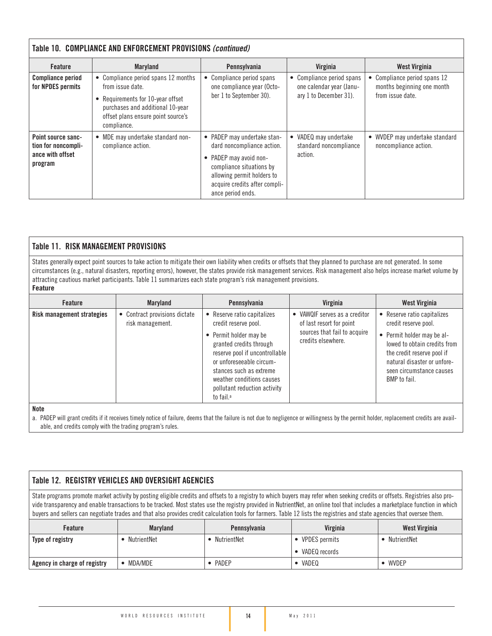| Table 10. COMPLIANCE AND ENFORCEMENT PROVISIONS (continued)              |                                                                                                                                                                                     |                                                                                                                                                                                                      |                                                                                 |                                                                              |  |
|--------------------------------------------------------------------------|-------------------------------------------------------------------------------------------------------------------------------------------------------------------------------------|------------------------------------------------------------------------------------------------------------------------------------------------------------------------------------------------------|---------------------------------------------------------------------------------|------------------------------------------------------------------------------|--|
| <b>Feature</b>                                                           | <b>Maryland</b>                                                                                                                                                                     | Pennsylvania                                                                                                                                                                                         | Virginia                                                                        | West Virginia                                                                |  |
| <b>Compliance period</b><br>for NPDES permits                            | • Compliance period spans 12 months<br>from issue date.<br>Requirements for 10-year offset<br>purchases and additional 10-year<br>offset plans ensure point source's<br>compliance. | Compliance period spans<br>٠<br>one compliance year (Octo-<br>ber 1 to September 30).                                                                                                                | • Compliance period spans<br>one calendar year (Janu-<br>ary 1 to December 31). | Compliance period spans 12<br>months beginning one month<br>from issue date. |  |
| Point source sanc-<br>tion for noncompli-<br>ance with offset<br>program | • MDE may undertake standard non-<br>compliance action.                                                                                                                             | PADEP may undertake stan-<br>٠<br>dard noncompliance action.<br>PADEP may avoid non-<br>compliance situations by<br>allowing permit holders to<br>acquire credits after compli-<br>ance period ends. | • VADEQ may undertake<br>standard noncompliance<br>action.                      | WVDEP may undertake standard<br>noncompliance action.                        |  |

#### Table 11. RISK MANAGEMENT PROVISIONS

States generally expect point sources to take action to mitigate their own liability when credits or offsets that they planned to purchase are not generated. In some circumstances (e.g., natural disasters, reporting errors), however, the states provide risk management services. Risk management also helps increase market volume by attracting cautious market participants. Table 11 summarizes each state program's risk management provisions. **Feature**

| Feature                    | <b>Maryland</b>                                 | Pennsylvania                                                                                                                                                                                                                                                                          | Virginia                                                                                                      | West Virginia                                                                                                                                                                                                            |
|----------------------------|-------------------------------------------------|---------------------------------------------------------------------------------------------------------------------------------------------------------------------------------------------------------------------------------------------------------------------------------------|---------------------------------------------------------------------------------------------------------------|--------------------------------------------------------------------------------------------------------------------------------------------------------------------------------------------------------------------------|
| Risk management strategies | Contract provisions dictate<br>risk management. | Reserve ratio capitalizes<br>credit reserve pool.<br>• Permit holder may be<br>granted credits through<br>reserve pool if uncontrollable<br>or unforeseeable circum-<br>stances such as extreme<br>weather conditions causes<br>pollutant reduction activity<br>to fail. <sup>a</sup> | VAWQIF serves as a creditor<br>of last resort for point<br>sources that fail to acquire<br>credits elsewhere. | Reserve ratio capitalizes<br>credit reserve pool.<br>• Permit holder may be al-<br>lowed to obtain credits from<br>the credit reserve pool if<br>natural disaster or unfore-<br>seen circumstance causes<br>BMP to fail. |

#### Note

a. PADEP will grant credits if it receives timely notice of failure, deems that the failure is not due to negligence or willingness by the permit holder, replacement credits are available, and credits comply with the trading program's rules.

#### Table 12. REGISTRY VEHICLES AND OVERSIGHT AGENCIES

State programs promote market activity by posting eligible credits and offsets to a registry to which buyers may refer when seeking credits or offsets. Registries also provide transparency and enable transactions to be tracked. Most states use the registry provided in NutrientNet, an online tool that includes a marketplace function in which buyers and sellers can negotiate trades and that also provides credit calculation tools for farmers. Table 12 lists the registries and state agencies that oversee them.

| <b>Feature</b>               | <b>Maryland</b> | Pennsylvania | Virginia             | <b>West Virginia</b> |
|------------------------------|-----------------|--------------|----------------------|----------------------|
| Type of registry             | NutrientNet     | NutrientNet  | <b>VPDES</b> permits | NutrientNet          |
|                              |                 |              | VADEQ records        |                      |
| Agency in charge of registry | MDA/MDE         | PADEP        | VADEQ                | WVDEP                |